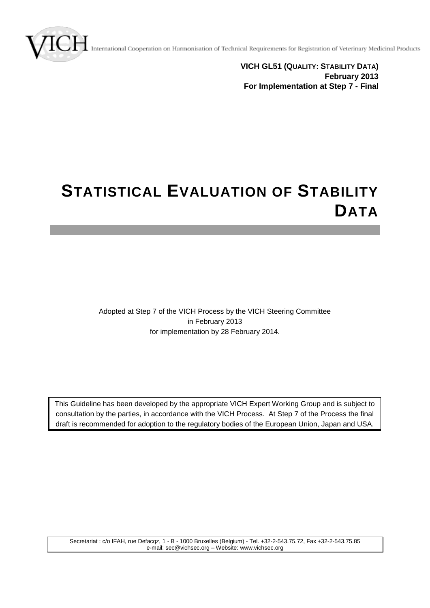International Cooperation on Harmonisation of Technical Requirements for Registration of Veterinary Medicinal Products

**VICH GL51 (QUALITY: STABILITY DATA) February 2013 For Implementation at Step 7 - Final**

# **STATISTICAL EVALUATION OF STABILITY DATA**

Adopted at Step 7 of the VICH Process by the VICH Steering Committee in February 2013 for implementation by 28 February 2014.

This Guideline has been developed by the appropriate VICH Expert Working Group and is subject to consultation by the parties, in accordance with the VICH Process. At Step 7 of the Process the final draft is recommended for adoption to the regulatory bodies of the European Union, Japan and USA.

Secretariat : c/o IFAH, rue Defacqz, 1 - B - 1000 Bruxelles (Belgium) - Tel. +32-2-543.75.72, Fax +32-2-543.75.85 e-mail: sec@vichsec.org – Website: www.vichsec.org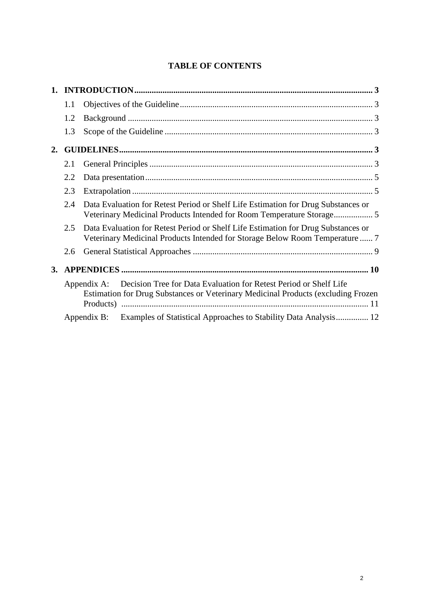## **TABLE OF CONTENTS**

|    | 1.1 |                                                                                                                                                                       |  |
|----|-----|-----------------------------------------------------------------------------------------------------------------------------------------------------------------------|--|
|    | 1.2 |                                                                                                                                                                       |  |
|    | 1.3 |                                                                                                                                                                       |  |
| 2. |     |                                                                                                                                                                       |  |
|    | 2.1 |                                                                                                                                                                       |  |
|    | 2.2 |                                                                                                                                                                       |  |
|    | 2.3 |                                                                                                                                                                       |  |
|    | 2.4 | Data Evaluation for Retest Period or Shelf Life Estimation for Drug Substances or                                                                                     |  |
|    | 2.5 | Data Evaluation for Retest Period or Shelf Life Estimation for Drug Substances or<br>Veterinary Medicinal Products Intended for Storage Below Room Temperature  7     |  |
|    | 2.6 |                                                                                                                                                                       |  |
|    |     |                                                                                                                                                                       |  |
|    |     | Decision Tree for Data Evaluation for Retest Period or Shelf Life<br>Appendix A:<br>Estimation for Drug Substances or Veterinary Medicinal Products (excluding Frozen |  |
|    |     | Examples of Statistical Approaches to Stability Data Analysis 12<br>Appendix B:                                                                                       |  |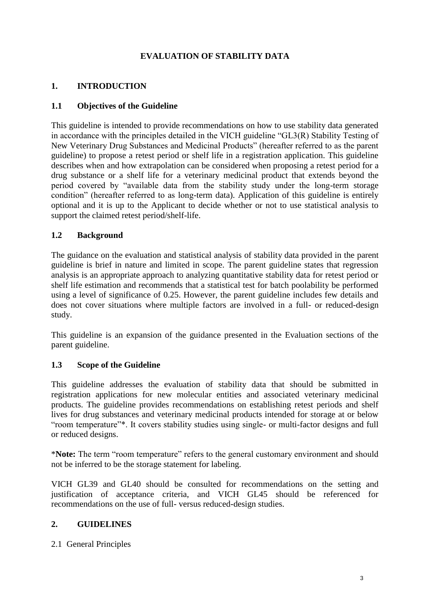## **EVALUATION OF STABILITY DATA**

## **1. INTRODUCTION**

#### **1.1 Objectives of the Guideline**

This guideline is intended to provide recommendations on how to use stability data generated in accordance with the principles detailed in the VICH guideline "GL3(R) Stability Testing of New Veterinary Drug Substances and Medicinal Products" (hereafter referred to as the parent guideline) to propose a retest period or shelf life in a registration application. This guideline describes when and how extrapolation can be considered when proposing a retest period for a drug substance or a shelf life for a veterinary medicinal product that extends beyond the period covered by "available data from the stability study under the long-term storage condition" (hereafter referred to as long-term data). Application of this guideline is entirely optional and it is up to the Applicant to decide whether or not to use statistical analysis to support the claimed retest period/shelf-life.

## **1.2 Background**

The guidance on the evaluation and statistical analysis of stability data provided in the parent guideline is brief in nature and limited in scope. The parent guideline states that regression analysis is an appropriate approach to analyzing quantitative stability data for retest period or shelf life estimation and recommends that a statistical test for batch poolability be performed using a level of significance of 0.25. However, the parent guideline includes few details and does not cover situations where multiple factors are involved in a full- or reduced-design study.

This guideline is an expansion of the guidance presented in the Evaluation sections of the parent guideline.

#### **1.3 Scope of the Guideline**

This guideline addresses the evaluation of stability data that should be submitted in registration applications for new molecular entities and associated veterinary medicinal products. The guideline provides recommendations on establishing retest periods and shelf lives for drug substances and veterinary medicinal products intended for storage at or below "room temperature"\*. It covers stability studies using single- or multi-factor designs and full or reduced designs.

\***Note:** The term "room temperature" refers to the general customary environment and should not be inferred to be the storage statement for labeling.

VICH GL39 and GL40 should be consulted for recommendations on the setting and justification of acceptance criteria, and VICH GL45 should be referenced for recommendations on the use of full- versus reduced-design studies.

#### **2. GUIDELINES**

#### 2.1 General Principles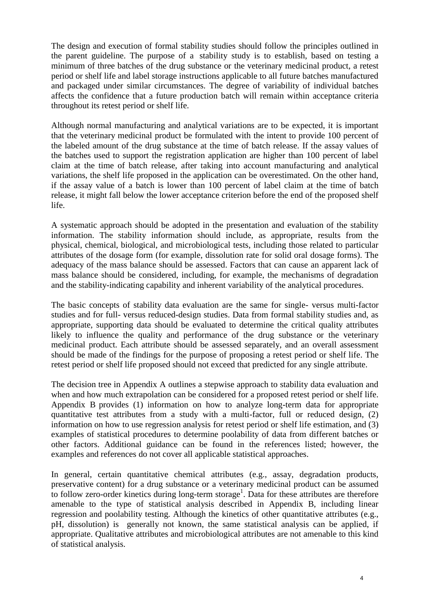The design and execution of formal stability studies should follow the principles outlined in the parent guideline. The purpose of a stability study is to establish, based on testing a minimum of three batches of the drug substance or the veterinary medicinal product, a retest period or shelf life and label storage instructions applicable to all future batches manufactured and packaged under similar circumstances. The degree of variability of individual batches affects the confidence that a future production batch will remain within acceptance criteria throughout its retest period or shelf life.

Although normal manufacturing and analytical variations are to be expected, it is important that the veterinary medicinal product be formulated with the intent to provide 100 percent of the labeled amount of the drug substance at the time of batch release. If the assay values of the batches used to support the registration application are higher than 100 percent of label claim at the time of batch release, after taking into account manufacturing and analytical variations, the shelf life proposed in the application can be overestimated. On the other hand, if the assay value of a batch is lower than 100 percent of label claim at the time of batch release, it might fall below the lower acceptance criterion before the end of the proposed shelf life.

A systematic approach should be adopted in the presentation and evaluation of the stability information. The stability information should include, as appropriate, results from the physical, chemical, biological, and microbiological tests, including those related to particular attributes of the dosage form (for example, dissolution rate for solid oral dosage forms). The adequacy of the mass balance should be assessed. Factors that can cause an apparent lack of mass balance should be considered, including, for example, the mechanisms of degradation and the stability-indicating capability and inherent variability of the analytical procedures.

The basic concepts of stability data evaluation are the same for single- versus multi-factor studies and for full- versus reduced-design studies. Data from formal stability studies and, as appropriate, supporting data should be evaluated to determine the critical quality attributes likely to influence the quality and performance of the drug substance or the veterinary medicinal product. Each attribute should be assessed separately, and an overall assessment should be made of the findings for the purpose of proposing a retest period or shelf life. The retest period or shelf life proposed should not exceed that predicted for any single attribute.

The decision tree in Appendix A outlines a stepwise approach to stability data evaluation and when and how much extrapolation can be considered for a proposed retest period or shelf life. Appendix B provides (1) information on how to analyze long-term data for appropriate quantitative test attributes from a study with a multi-factor, full or reduced design, (2) information on how to use regression analysis for retest period or shelf life estimation, and (3) examples of statistical procedures to determine poolability of data from different batches or other factors. Additional guidance can be found in the references listed; however, the examples and references do not cover all applicable statistical approaches.

In general, certain quantitative chemical attributes (e.g., assay, degradation products, preservative content) for a drug substance or a veterinary medicinal product can be assumed to follow zero-order kinetics during long-term storage<sup>1</sup>. Data for these attributes are therefore amenable to the type of statistical analysis described in Appendix B, including linear regression and poolability testing. Although the kinetics of other quantitative attributes (e.g., pH, dissolution) is generally not known, the same statistical analysis can be applied, if appropriate. Qualitative attributes and microbiological attributes are not amenable to this kind of statistical analysis.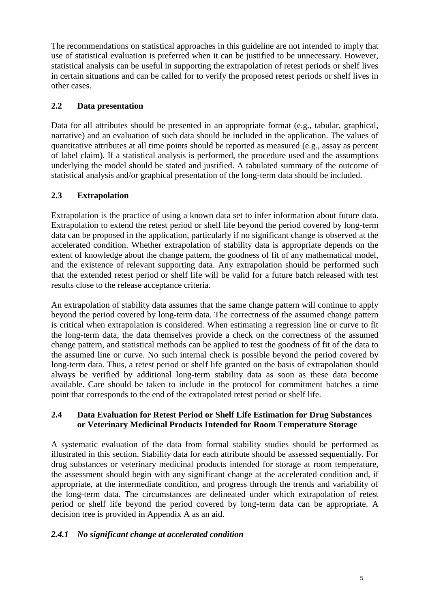The recommendations on statistical approaches in this guideline are not intended to imply that use of statistical evaluation is preferred when it can be justified to be unnecessary. However, statistical analysis can be useful in supporting the extrapolation of retest periods or shelf lives in certain situations and can be called for to verify the proposed retest periods or shelf lives in other cases.

## **2.2 Data presentation**

Data for all attributes should be presented in an appropriate format (e.g., tabular, graphical, narrative) and an evaluation of such data should be included in the application. The values of quantitative attributes at all time points should be reported as measured (e.g., assay as percent of label claim). If a statistical analysis is performed, the procedure used and the assumptions underlying the model should be stated and justified. A tabulated summary of the outcome of statistical analysis and/or graphical presentation of the long-term data should be included.

## **2.3 Extrapolation**

Extrapolation is the practice of using a known data set to infer information about future data. Extrapolation to extend the retest period or shelf life beyond the period covered by long-term data can be proposed in the application, particularly if no significant change is observed at the accelerated condition. Whether extrapolation of stability data is appropriate depends on the extent of knowledge about the change pattern, the goodness of fit of any mathematical model, and the existence of relevant supporting data. Any extrapolation should be performed such that the extended retest period or shelf life will be valid for a future batch released with test results close to the release acceptance criteria.

An extrapolation of stability data assumes that the same change pattern will continue to apply beyond the period covered by long-term data. The correctness of the assumed change pattern is critical when extrapolation is considered. When estimating a regression line or curve to fit the long-term data, the data themselves provide a check on the correctness of the assumed change pattern, and statistical methods can be applied to test the goodness of fit of the data to the assumed line or curve. No such internal check is possible beyond the period covered by long-term data. Thus, a retest period or shelf life granted on the basis of extrapolation should always be verified by additional long-term stability data as soon as these data become available. Care should be taken to include in the protocol for commitment batches a time point that corresponds to the end of the extrapolated retest period or shelf life.

#### **2.4 Data Evaluation for Retest Period or Shelf Life Estimation for Drug Substances or Veterinary Medicinal Products Intended for Room Temperature Storage**

A systematic evaluation of the data from formal stability studies should be performed as illustrated in this section. Stability data for each attribute should be assessed sequentially. For drug substances or veterinary medicinal products intended for storage at room temperature, the assessment should begin with any significant change at the accelerated condition and, if appropriate, at the intermediate condition, and progress through the trends and variability of the long-term data. The circumstances are delineated under which extrapolation of retest period or shelf life beyond the period covered by long-term data can be appropriate. A decision tree is provided in Appendix A as an aid.

#### *2.4.1 No significant change at accelerated condition*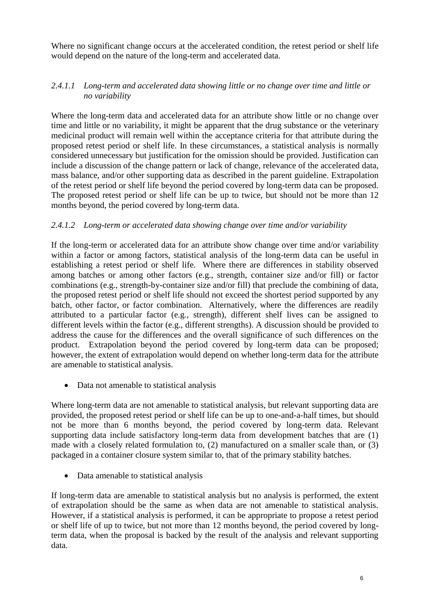Where no significant change occurs at the accelerated condition, the retest period or shelf life would depend on the nature of the long-term and accelerated data.

## *2.4.1.1 Long-term and accelerated data showing little or no change over time and little or no variability*

Where the long-term data and accelerated data for an attribute show little or no change over time and little or no variability, it might be apparent that the drug substance or the veterinary medicinal product will remain well within the acceptance criteria for that attribute during the proposed retest period or shelf life. In these circumstances, a statistical analysis is normally considered unnecessary but justification for the omission should be provided. Justification can include a discussion of the change pattern or lack of change, relevance of the accelerated data, mass balance, and/or other supporting data as described in the parent guideline. Extrapolation of the retest period or shelf life beyond the period covered by long-term data can be proposed. The proposed retest period or shelf life can be up to twice, but should not be more than 12 months beyond, the period covered by long-term data.

## *2.4.1.2 Long-term or accelerated data showing change over time and/or variability*

If the long-term or accelerated data for an attribute show change over time and/or variability within a factor or among factors, statistical analysis of the long-term data can be useful in establishing a retest period or shelf life. Where there are differences in stability observed among batches or among other factors (e.g., strength, container size and/or fill) or factor combinations (e.g., strength-by-container size and/or fill) that preclude the combining of data, the proposed retest period or shelf life should not exceed the shortest period supported by any batch, other factor, or factor combination. Alternatively, where the differences are readily attributed to a particular factor (e.g., strength), different shelf lives can be assigned to different levels within the factor (e.g., different strengths). A discussion should be provided to address the cause for the differences and the overall significance of such differences on the product. Extrapolation beyond the period covered by long-term data can be proposed; however, the extent of extrapolation would depend on whether long-term data for the attribute are amenable to statistical analysis.

• Data not amenable to statistical analysis

Where long-term data are not amenable to statistical analysis, but relevant supporting data are provided, the proposed retest period or shelf life can be up to one-and-a-half times, but should not be more than 6 months beyond, the period covered by long-term data. Relevant supporting data include satisfactory long-term data from development batches that are (1) made with a closely related formulation to, (2) manufactured on a smaller scale than, or (3) packaged in a container closure system similar to, that of the primary stability batches.

Data amenable to statistical analysis

If long-term data are amenable to statistical analysis but no analysis is performed, the extent of extrapolation should be the same as when data are not amenable to statistical analysis. However, if a statistical analysis is performed, it can be appropriate to propose a retest period or shelf life of up to twice, but not more than 12 months beyond, the period covered by longterm data, when the proposal is backed by the result of the analysis and relevant supporting data.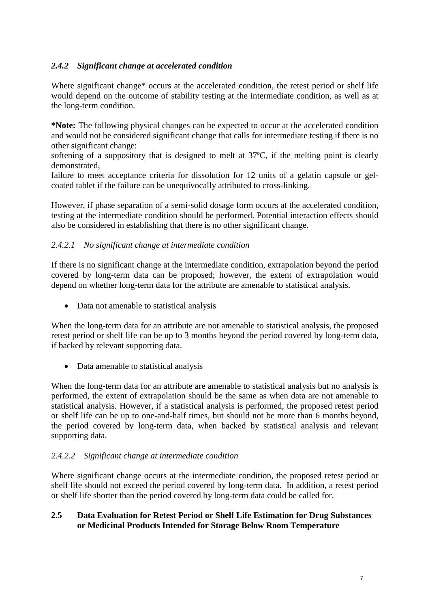## *2.4.2 Significant change at accelerated condition*

Where significant change\* occurs at the accelerated condition, the retest period or shelf life would depend on the outcome of stability testing at the intermediate condition, as well as at the long-term condition.

**\*Note:** The following physical changes can be expected to occur at the accelerated condition and would not be considered significant change that calls for intermediate testing if there is no other significant change:

softening of a suppository that is designed to melt at 37ºC, if the melting point is clearly demonstrated,

failure to meet acceptance criteria for dissolution for 12 units of a gelatin capsule or gelcoated tablet if the failure can be unequivocally attributed to cross-linking.

However, if phase separation of a semi-solid dosage form occurs at the accelerated condition, testing at the intermediate condition should be performed. Potential interaction effects should also be considered in establishing that there is no other significant change.

#### *2.4.2.1 No significant change at intermediate condition*

If there is no significant change at the intermediate condition, extrapolation beyond the period covered by long-term data can be proposed; however, the extent of extrapolation would depend on whether long-term data for the attribute are amenable to statistical analysis.

• Data not amenable to statistical analysis

When the long-term data for an attribute are not amenable to statistical analysis, the proposed retest period or shelf life can be up to 3 months beyond the period covered by long-term data, if backed by relevant supporting data.

• Data amenable to statistical analysis

When the long-term data for an attribute are amenable to statistical analysis but no analysis is performed, the extent of extrapolation should be the same as when data are not amenable to statistical analysis. However, if a statistical analysis is performed, the proposed retest period or shelf life can be up to one-and-half times, but should not be more than 6 months beyond, the period covered by long-term data, when backed by statistical analysis and relevant supporting data.

#### *2.4.2.2 Significant change at intermediate condition*

Where significant change occurs at the intermediate condition, the proposed retest period or shelf life should not exceed the period covered by long-term data. In addition, a retest period or shelf life shorter than the period covered by long-term data could be called for.

#### **2.5 Data Evaluation for Retest Period or Shelf Life Estimation for Drug Substances or Medicinal Products Intended for Storage Below Room Temperature**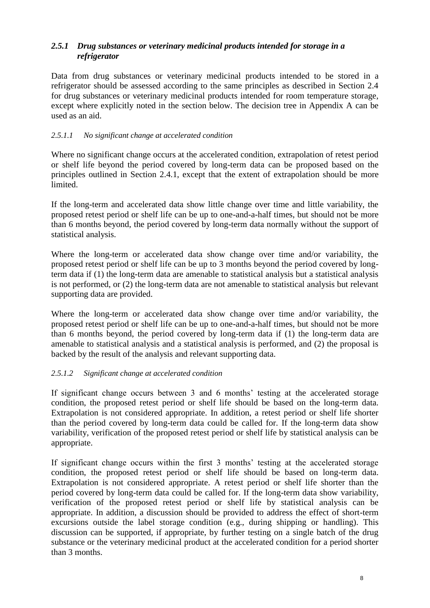## *2.5.1 Drug substances or veterinary medicinal products intended for storage in a refrigerator*

Data from drug substances or veterinary medicinal products intended to be stored in a refrigerator should be assessed according to the same principles as described in Section 2.4 for drug substances or veterinary medicinal products intended for room temperature storage, except where explicitly noted in the section below. The decision tree in Appendix A can be used as an aid.

## *2.5.1.1 No significant change at accelerated condition*

Where no significant change occurs at the accelerated condition, extrapolation of retest period or shelf life beyond the period covered by long-term data can be proposed based on the principles outlined in Section 2.4.1, except that the extent of extrapolation should be more limited.

If the long-term and accelerated data show little change over time and little variability, the proposed retest period or shelf life can be up to one-and-a-half times, but should not be more than 6 months beyond, the period covered by long-term data normally without the support of statistical analysis.

Where the long-term or accelerated data show change over time and/or variability, the proposed retest period or shelf life can be up to 3 months beyond the period covered by longterm data if (1) the long-term data are amenable to statistical analysis but a statistical analysis is not performed, or (2) the long-term data are not amenable to statistical analysis but relevant supporting data are provided.

Where the long-term or accelerated data show change over time and/or variability, the proposed retest period or shelf life can be up to one-and-a-half times, but should not be more than 6 months beyond, the period covered by long-term data if (1) the long-term data are amenable to statistical analysis and a statistical analysis is performed, and (2) the proposal is backed by the result of the analysis and relevant supporting data.

#### *2.5.1.2 Significant change at accelerated condition*

If significant change occurs between 3 and 6 months' testing at the accelerated storage condition, the proposed retest period or shelf life should be based on the long-term data. Extrapolation is not considered appropriate. In addition, a retest period or shelf life shorter than the period covered by long-term data could be called for. If the long-term data show variability, verification of the proposed retest period or shelf life by statistical analysis can be appropriate.

If significant change occurs within the first 3 months' testing at the accelerated storage condition, the proposed retest period or shelf life should be based on long-term data. Extrapolation is not considered appropriate. A retest period or shelf life shorter than the period covered by long-term data could be called for. If the long-term data show variability, verification of the proposed retest period or shelf life by statistical analysis can be appropriate. In addition, a discussion should be provided to address the effect of short-term excursions outside the label storage condition (e.g., during shipping or handling). This discussion can be supported, if appropriate, by further testing on a single batch of the drug substance or the veterinary medicinal product at the accelerated condition for a period shorter than 3 months.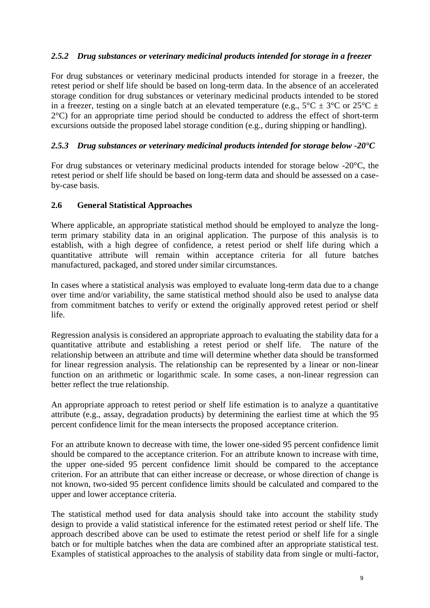## *2.5.2 Drug substances or veterinary medicinal products intended for storage in a freezer*

For drug substances or veterinary medicinal products intended for storage in a freezer, the retest period or shelf life should be based on long-term data. In the absence of an accelerated storage condition for drug substances or veterinary medicinal products intended to be stored in a freezer, testing on a single batch at an elevated temperature (e.g.,  $5^{\circ}C \pm 3^{\circ}C$  or  $25^{\circ}C \pm 3^{\circ}C$  $2^{\circ}$ C) for an appropriate time period should be conducted to address the effect of short-term excursions outside the proposed label storage condition (e.g., during shipping or handling).

## *2.5.3 Drug substances or veterinary medicinal products intended for storage below -20°C*

For drug substances or veterinary medicinal products intended for storage below -20°C, the retest period or shelf life should be based on long-term data and should be assessed on a caseby-case basis.

#### **2.6 General Statistical Approaches**

Where applicable, an appropriate statistical method should be employed to analyze the longterm primary stability data in an original application. The purpose of this analysis is to establish, with a high degree of confidence, a retest period or shelf life during which a quantitative attribute will remain within acceptance criteria for all future batches manufactured, packaged, and stored under similar circumstances.

In cases where a statistical analysis was employed to evaluate long-term data due to a change over time and/or variability, the same statistical method should also be used to analyse data from commitment batches to verify or extend the originally approved retest period or shelf life.

Regression analysis is considered an appropriate approach to evaluating the stability data for a quantitative attribute and establishing a retest period or shelf life. The nature of the relationship between an attribute and time will determine whether data should be transformed for linear regression analysis. The relationship can be represented by a linear or non-linear function on an arithmetic or logarithmic scale. In some cases, a non-linear regression can better reflect the true relationship.

An appropriate approach to retest period or shelf life estimation is to analyze a quantitative attribute (e.g., assay, degradation products) by determining the earliest time at which the 95 percent confidence limit for the mean intersects the proposed acceptance criterion.

For an attribute known to decrease with time, the lower one-sided 95 percent confidence limit should be compared to the acceptance criterion. For an attribute known to increase with time, the upper one-sided 95 percent confidence limit should be compared to the acceptance criterion. For an attribute that can either increase or decrease, or whose direction of change is not known, two-sided 95 percent confidence limits should be calculated and compared to the upper and lower acceptance criteria.

The statistical method used for data analysis should take into account the stability study design to provide a valid statistical inference for the estimated retest period or shelf life. The approach described above can be used to estimate the retest period or shelf life for a single batch or for multiple batches when the data are combined after an appropriate statistical test. Examples of statistical approaches to the analysis of stability data from single or multi-factor,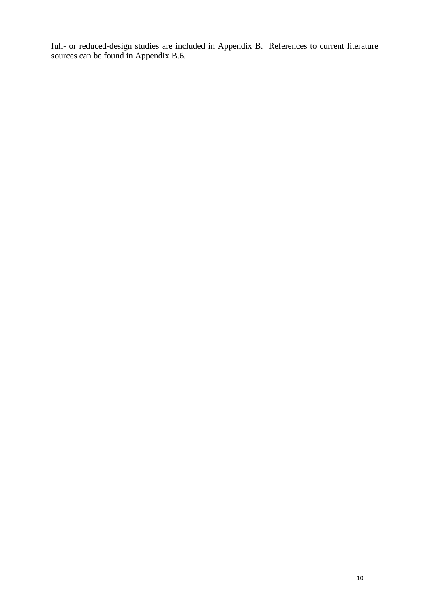full- or reduced-design studies are included in Appendix B. References to current literature sources can be found in Appendix B.6.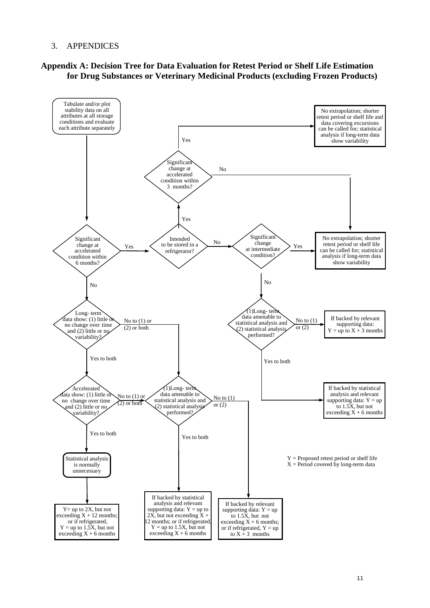#### 3. APPENDICES

#### **Appendix A: Decision Tree for Data Evaluation for Retest Period or Shelf Life Estimation for Drug Substances or Veterinary Medicinal Products (excluding Frozen Products)**

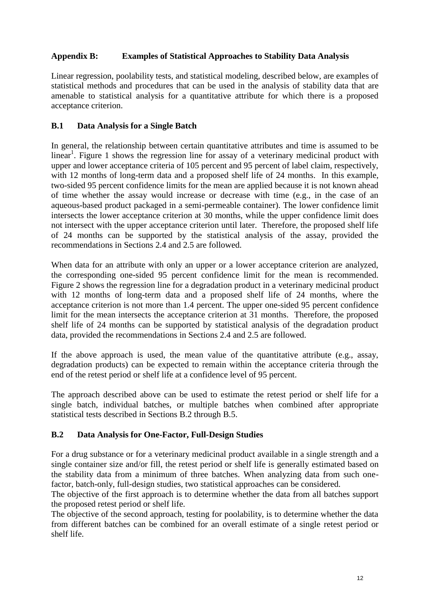## **Appendix B: Examples of Statistical Approaches to Stability Data Analysis**

Linear regression, poolability tests, and statistical modeling, described below, are examples of statistical methods and procedures that can be used in the analysis of stability data that are amenable to statistical analysis for a quantitative attribute for which there is a proposed acceptance criterion.

## **B.1 Data Analysis for a Single Batch**

In general, the relationship between certain quantitative attributes and time is assumed to be linear<sup>1</sup>. Figure 1 shows the regression line for assay of a veterinary medicinal product with upper and lower acceptance criteria of 105 percent and 95 percent of label claim, respectively, with 12 months of long-term data and a proposed shelf life of 24 months. In this example, two-sided 95 percent confidence limits for the mean are applied because it is not known ahead of time whether the assay would increase or decrease with time (e.g., in the case of an aqueous-based product packaged in a semi-permeable container). The lower confidence limit intersects the lower acceptance criterion at 30 months, while the upper confidence limit does not intersect with the upper acceptance criterion until later. Therefore, the proposed shelf life of 24 months can be supported by the statistical analysis of the assay, provided the recommendations in Sections 2.4 and 2.5 are followed.

When data for an attribute with only an upper or a lower acceptance criterion are analyzed, the corresponding one-sided 95 percent confidence limit for the mean is recommended. Figure 2 shows the regression line for a degradation product in a veterinary medicinal product with 12 months of long-term data and a proposed shelf life of 24 months, where the acceptance criterion is not more than 1.4 percent. The upper one-sided 95 percent confidence limit for the mean intersects the acceptance criterion at 31 months. Therefore, the proposed shelf life of 24 months can be supported by statistical analysis of the degradation product data, provided the recommendations in Sections 2.4 and 2.5 are followed.

If the above approach is used, the mean value of the quantitative attribute (e.g., assay, degradation products) can be expected to remain within the acceptance criteria through the end of the retest period or shelf life at a confidence level of 95 percent.

The approach described above can be used to estimate the retest period or shelf life for a single batch, individual batches, or multiple batches when combined after appropriate statistical tests described in Sections B.2 through B.5.

#### **B.2 Data Analysis for One-Factor, Full-Design Studies**

For a drug substance or for a veterinary medicinal product available in a single strength and a single container size and/or fill, the retest period or shelf life is generally estimated based on the stability data from a minimum of three batches. When analyzing data from such onefactor, batch-only, full-design studies, two statistical approaches can be considered.

The objective of the first approach is to determine whether the data from all batches support the proposed retest period or shelf life.

The objective of the second approach, testing for poolability, is to determine whether the data from different batches can be combined for an overall estimate of a single retest period or shelf life.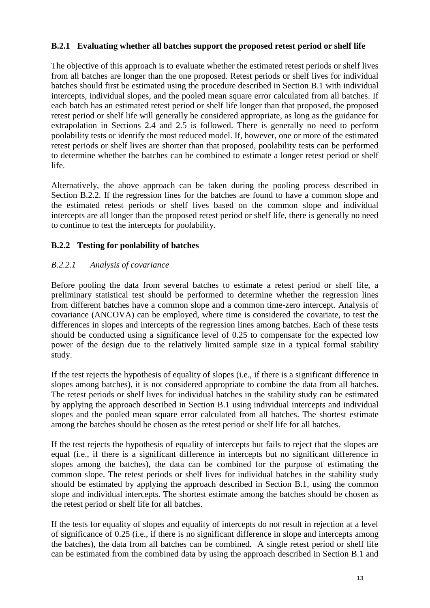## **B.2.1 Evaluating whether all batches support the proposed retest period or shelf life**

The objective of this approach is to evaluate whether the estimated retest periods or shelf lives from all batches are longer than the one proposed. Retest periods or shelf lives for individual batches should first be estimated using the procedure described in Section B.1 with individual intercepts, individual slopes, and the pooled mean square error calculated from all batches. If each batch has an estimated retest period or shelf life longer than that proposed, the proposed retest period or shelf life will generally be considered appropriate, as long as the guidance for extrapolation in Sections 2.4 and 2.5 is followed. There is generally no need to perform poolability tests or identify the most reduced model. If, however, one or more of the estimated retest periods or shelf lives are shorter than that proposed, poolability tests can be performed to determine whether the batches can be combined to estimate a longer retest period or shelf life.

Alternatively, the above approach can be taken during the pooling process described in Section B.2.2. If the regression lines for the batches are found to have a common slope and the estimated retest periods or shelf lives based on the common slope and individual intercepts are all longer than the proposed retest period or shelf life, there is generally no need to continue to test the intercepts for poolability.

## **B.2.2 Testing for poolability of batches**

#### *B.2.2.1 Analysis of covariance*

Before pooling the data from several batches to estimate a retest period or shelf life, a preliminary statistical test should be performed to determine whether the regression lines from different batches have a common slope and a common time-zero intercept. Analysis of covariance (ANCOVA) can be employed, where time is considered the covariate, to test the differences in slopes and intercepts of the regression lines among batches. Each of these tests should be conducted using a significance level of 0.25 to compensate for the expected low power of the design due to the relatively limited sample size in a typical formal stability study.

If the test rejects the hypothesis of equality of slopes (i.e., if there is a significant difference in slopes among batches), it is not considered appropriate to combine the data from all batches. The retest periods or shelf lives for individual batches in the stability study can be estimated by applying the approach described in Section B.1 using individual intercepts and individual slopes and the pooled mean square error calculated from all batches. The shortest estimate among the batches should be chosen as the retest period or shelf life for all batches.

If the test rejects the hypothesis of equality of intercepts but fails to reject that the slopes are equal (i.e., if there is a significant difference in intercepts but no significant difference in slopes among the batches), the data can be combined for the purpose of estimating the common slope. The retest periods or shelf lives for individual batches in the stability study should be estimated by applying the approach described in Section B.1, using the common slope and individual intercepts. The shortest estimate among the batches should be chosen as the retest period or shelf life for all batches.

If the tests for equality of slopes and equality of intercepts do not result in rejection at a level of significance of 0.25 (i.e., if there is no significant difference in slope and intercepts among the batches), the data from all batches can be combined. A single retest period or shelf life can be estimated from the combined data by using the approach described in Section B.1 and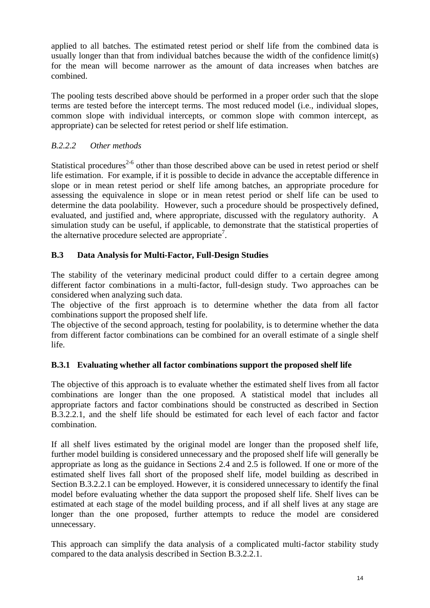applied to all batches. The estimated retest period or shelf life from the combined data is usually longer than that from individual batches because the width of the confidence limit(s) for the mean will become narrower as the amount of data increases when batches are combined.

The pooling tests described above should be performed in a proper order such that the slope terms are tested before the intercept terms. The most reduced model (i.e., individual slopes, common slope with individual intercepts, or common slope with common intercept, as appropriate) can be selected for retest period or shelf life estimation.

## *B.2.2.2 Other methods*

Statistical procedures<sup>2-6</sup> other than those described above can be used in retest period or shelf life estimation. For example, if it is possible to decide in advance the acceptable difference in slope or in mean retest period or shelf life among batches, an appropriate procedure for assessing the equivalence in slope or in mean retest period or shelf life can be used to determine the data poolability. However, such a procedure should be prospectively defined, evaluated, and justified and, where appropriate, discussed with the regulatory authority. A simulation study can be useful, if applicable, to demonstrate that the statistical properties of the alternative procedure selected are appropriate<sup>7</sup>.

#### **B.3 Data Analysis for Multi-Factor, Full-Design Studies**

The stability of the veterinary medicinal product could differ to a certain degree among different factor combinations in a multi-factor, full-design study. Two approaches can be considered when analyzing such data.

The objective of the first approach is to determine whether the data from all factor combinations support the proposed shelf life.

The objective of the second approach, testing for poolability, is to determine whether the data from different factor combinations can be combined for an overall estimate of a single shelf life.

#### **B.3.1 Evaluating whether all factor combinations support the proposed shelf life**

The objective of this approach is to evaluate whether the estimated shelf lives from all factor combinations are longer than the one proposed. A statistical model that includes all appropriate factors and factor combinations should be constructed as described in Section B.3.2.2.1, and the shelf life should be estimated for each level of each factor and factor combination.

If all shelf lives estimated by the original model are longer than the proposed shelf life, further model building is considered unnecessary and the proposed shelf life will generally be appropriate as long as the guidance in Sections 2.4 and 2.5 is followed. If one or more of the estimated shelf lives fall short of the proposed shelf life, model building as described in Section B.3.2.2.1 can be employed. However, it is considered unnecessary to identify the final model before evaluating whether the data support the proposed shelf life. Shelf lives can be estimated at each stage of the model building process, and if all shelf lives at any stage are longer than the one proposed, further attempts to reduce the model are considered unnecessary.

This approach can simplify the data analysis of a complicated multi-factor stability study compared to the data analysis described in Section B.3.2.2.1.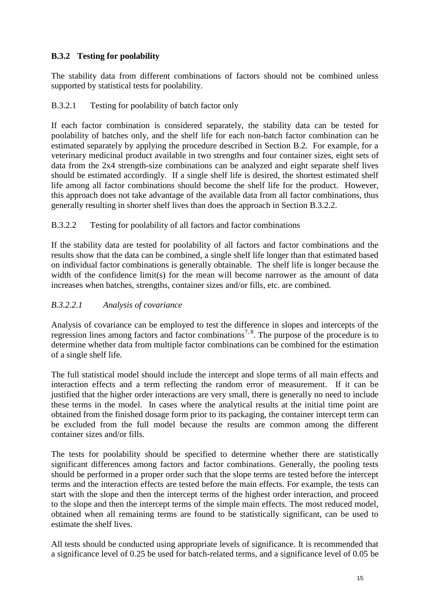## **B.3.2 Testing for poolability**

The stability data from different combinations of factors should not be combined unless supported by statistical tests for poolability.

## B.3.2.1 Testing for poolability of batch factor only

If each factor combination is considered separately, the stability data can be tested for poolability of batches only, and the shelf life for each non-batch factor combination can be estimated separately by applying the procedure described in Section B.2. For example, for a veterinary medicinal product available in two strengths and four container sizes, eight sets of data from the 2x4 strength-size combinations can be analyzed and eight separate shelf lives should be estimated accordingly. If a single shelf life is desired, the shortest estimated shelf life among all factor combinations should become the shelf life for the product. However, this approach does not take advantage of the available data from all factor combinations, thus generally resulting in shorter shelf lives than does the approach in Section B.3.2.2.

#### B.3.2.2 Testing for poolability of all factors and factor combinations

If the stability data are tested for poolability of all factors and factor combinations and the results show that the data can be combined, a single shelf life longer than that estimated based on individual factor combinations is generally obtainable. The shelf life is longer because the width of the confidence limit(s) for the mean will become narrower as the amount of data increases when batches, strengths, container sizes and/or fills, etc. are combined.

## *B.3.2.2.1 Analysis of covariance*

Analysis of covariance can be employed to test the difference in slopes and intercepts of the regression lines among factors and factor combinations<sup>7, 8</sup>. The purpose of the procedure is to determine whether data from multiple factor combinations can be combined for the estimation of a single shelf life.

The full statistical model should include the intercept and slope terms of all main effects and interaction effects and a term reflecting the random error of measurement. If it can be justified that the higher order interactions are very small, there is generally no need to include these terms in the model. In cases where the analytical results at the initial time point are obtained from the finished dosage form prior to its packaging, the container intercept term can be excluded from the full model because the results are common among the different container sizes and/or fills.

The tests for poolability should be specified to determine whether there are statistically significant differences among factors and factor combinations. Generally, the pooling tests should be performed in a proper order such that the slope terms are tested before the intercept terms and the interaction effects are tested before the main effects. For example, the tests can start with the slope and then the intercept terms of the highest order interaction, and proceed to the slope and then the intercept terms of the simple main effects. The most reduced model, obtained when all remaining terms are found to be statistically significant, can be used to estimate the shelf lives.

All tests should be conducted using appropriate levels of significance. It is recommended that a significance level of 0.25 be used for batch-related terms, and a significance level of 0.05 be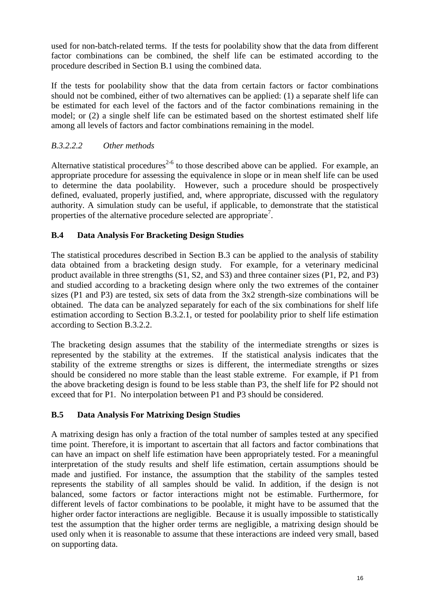used for non-batch-related terms. If the tests for poolability show that the data from different factor combinations can be combined, the shelf life can be estimated according to the procedure described in Section B.1 using the combined data.

If the tests for poolability show that the data from certain factors or factor combinations should not be combined, either of two alternatives can be applied: (1) a separate shelf life can be estimated for each level of the factors and of the factor combinations remaining in the model; or (2) a single shelf life can be estimated based on the shortest estimated shelf life among all levels of factors and factor combinations remaining in the model.

## *B.3.2.2.2 Other methods*

Alternative statistical procedures<sup>2-6</sup> to those described above can be applied. For example, an appropriate procedure for assessing the equivalence in slope or in mean shelf life can be used to determine the data poolability. However, such a procedure should be prospectively defined, evaluated, properly justified, and, where appropriate, discussed with the regulatory authority. A simulation study can be useful, if applicable, to demonstrate that the statistical properties of the alternative procedure selected are appropriate<sup>7</sup>.

# **B.4 Data Analysis For Bracketing Design Studies**

The statistical procedures described in Section B.3 can be applied to the analysis of stability data obtained from a bracketing design study. For example, for a veterinary medicinal product available in three strengths (S1, S2, and S3) and three container sizes (P1, P2, and P3) and studied according to a bracketing design where only the two extremes of the container sizes (P1 and P3) are tested, six sets of data from the 3x2 strength-size combinations will be obtained. The data can be analyzed separately for each of the six combinations for shelf life estimation according to Section B.3.2.1, or tested for poolability prior to shelf life estimation according to Section B.3.2.2.

The bracketing design assumes that the stability of the intermediate strengths or sizes is represented by the stability at the extremes. If the statistical analysis indicates that the stability of the extreme strengths or sizes is different, the intermediate strengths or sizes should be considered no more stable than the least stable extreme. For example, if P1 from the above bracketing design is found to be less stable than P3, the shelf life for P2 should not exceed that for P1. No interpolation between P1 and P3 should be considered.

## **B.5 Data Analysis For Matrixing Design Studies**

A matrixing design has only a fraction of the total number of samples tested at any specified time point. Therefore, it is important to ascertain that all factors and factor combinations that can have an impact on shelf life estimation have been appropriately tested. For a meaningful interpretation of the study results and shelf life estimation, certain assumptions should be made and justified. For instance, the assumption that the stability of the samples tested represents the stability of all samples should be valid. In addition, if the design is not balanced, some factors or factor interactions might not be estimable. Furthermore, for different levels of factor combinations to be poolable, it might have to be assumed that the higher order factor interactions are negligible. Because it is usually impossible to statistically test the assumption that the higher order terms are negligible, a matrixing design should be used only when it is reasonable to assume that these interactions are indeed very small, based on supporting data.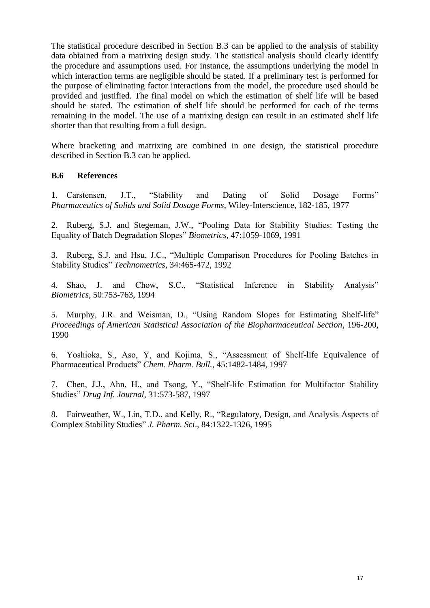The statistical procedure described in Section B.3 can be applied to the analysis of stability data obtained from a matrixing design study. The statistical analysis should clearly identify the procedure and assumptions used. For instance, the assumptions underlying the model in which interaction terms are negligible should be stated. If a preliminary test is performed for the purpose of eliminating factor interactions from the model, the procedure used should be provided and justified. The final model on which the estimation of shelf life will be based should be stated. The estimation of shelf life should be performed for each of the terms remaining in the model. The use of a matrixing design can result in an estimated shelf life shorter than that resulting from a full design.

Where bracketing and matrixing are combined in one design, the statistical procedure described in Section B.3 can be applied.

#### **B.6 References**

1. Carstensen, J.T., "Stability and Dating of Solid Dosage Forms" *Pharmaceutics of Solids and Solid Dosage Forms*, Wiley-Interscience, 182-185, 1977

2. Ruberg, S.J. and Stegeman, J.W., "Pooling Data for Stability Studies: Testing the Equality of Batch Degradation Slopes" *Biometrics*, 47:1059-1069, 1991

3. Ruberg, S.J. and Hsu, J.C., "Multiple Comparison Procedures for Pooling Batches in Stability Studies" *Technometrics*, 34:465-472, 1992

4. Shao, J. and Chow, S.C., "Statistical Inference in Stability Analysis" *Biometrics*, 50:753-763, 1994

5. Murphy, J.R. and Weisman, D., "Using Random Slopes for Estimating Shelf-life" *Proceedings of American Statistical Association of the Biopharmaceutical Section*, 196-200, 1990

6. Yoshioka, S., Aso, Y, and Kojima, S., "Assessment of Shelf-life Equivalence of Pharmaceutical Products" *Chem. Pharm. Bull.*, 45:1482-1484, 1997

7. Chen, J.J., Ahn, H., and Tsong, Y., "Shelf-life Estimation for Multifactor Stability Studies" *Drug Inf. Journal*, 31:573-587, 1997

8. Fairweather, W., Lin, T.D., and Kelly, R., "Regulatory, Design, and Analysis Aspects of Complex Stability Studies" *J. Pharm. Sci*., 84:1322-1326, 1995